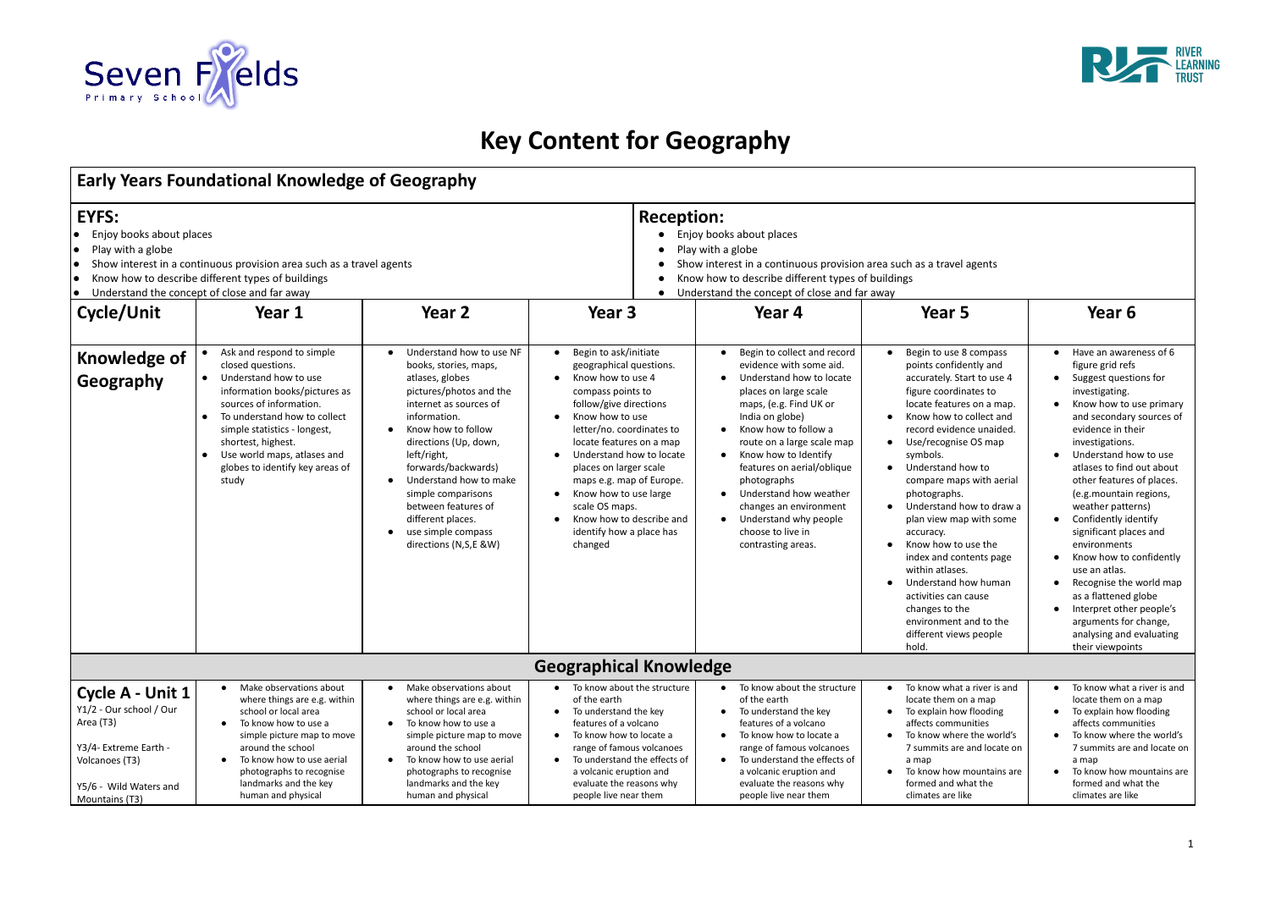

## **Key Content for Geography**

|                                                                                                                                                                                                                                                                                                                                 | <b>Early Years Foundational Knowledge of Geography</b>                                                                                                                                                                                                                                                              |                                                                                                                                                                                                                                                                                                                                                                                                                               |                                                                                                                                                                                                                                                                                                                                                                                                                                                                                |                                                                                                                                                                                                                                                                                                                                                                                                                                                                 |                                                                                                                                                                                                                                                                                                                                                                                                                                                                                                                                                                            |                                                                                                                                                                                                                                                                                                                                                                                                                                                                                                                                                                                              |  |
|---------------------------------------------------------------------------------------------------------------------------------------------------------------------------------------------------------------------------------------------------------------------------------------------------------------------------------|---------------------------------------------------------------------------------------------------------------------------------------------------------------------------------------------------------------------------------------------------------------------------------------------------------------------|-------------------------------------------------------------------------------------------------------------------------------------------------------------------------------------------------------------------------------------------------------------------------------------------------------------------------------------------------------------------------------------------------------------------------------|--------------------------------------------------------------------------------------------------------------------------------------------------------------------------------------------------------------------------------------------------------------------------------------------------------------------------------------------------------------------------------------------------------------------------------------------------------------------------------|-----------------------------------------------------------------------------------------------------------------------------------------------------------------------------------------------------------------------------------------------------------------------------------------------------------------------------------------------------------------------------------------------------------------------------------------------------------------|----------------------------------------------------------------------------------------------------------------------------------------------------------------------------------------------------------------------------------------------------------------------------------------------------------------------------------------------------------------------------------------------------------------------------------------------------------------------------------------------------------------------------------------------------------------------------|----------------------------------------------------------------------------------------------------------------------------------------------------------------------------------------------------------------------------------------------------------------------------------------------------------------------------------------------------------------------------------------------------------------------------------------------------------------------------------------------------------------------------------------------------------------------------------------------|--|
| <b>EYFS:</b><br>Enjoy books about places<br>lo<br>Play with a globe<br>$\bullet$<br>Show interest in a continuous provision area such as a travel agents<br>lo<br>Know how to describe different types of buildings<br>lo<br>Understand the concept of close and far away<br>$\bullet$<br><b>Cycle/Unit</b><br>Year 2<br>Year 1 |                                                                                                                                                                                                                                                                                                                     |                                                                                                                                                                                                                                                                                                                                                                                                                               | Year 3                                                                                                                                                                                                                                                                                                                                                                                                                                                                         | <b>Reception:</b><br>Enjoy books about places<br>Play with a globe<br>Show interest in a continuous provision area such as a travel agents<br>Know how to describe different types of buildings<br>Understand the concept of close and far away<br>Year 4<br>Year 5<br>Year 6                                                                                                                                                                                   |                                                                                                                                                                                                                                                                                                                                                                                                                                                                                                                                                                            |                                                                                                                                                                                                                                                                                                                                                                                                                                                                                                                                                                                              |  |
| <b>Knowledge of</b><br>Geography                                                                                                                                                                                                                                                                                                | Ask and respond to simple<br>closed questions.<br>• Understand how to use<br>information books/pictures as<br>sources of information.<br>To understand how to collect<br>simple statistics - longest,<br>shortest, highest.<br>Use world maps, atlases and<br>$\bullet$<br>globes to identify key areas of<br>study | Understand how to use NF<br>$\bullet$<br>books, stories, maps,<br>atlases, globes<br>pictures/photos and the<br>internet as sources of<br>information.<br>Know how to follow<br>$\bullet$<br>directions (Up, down,<br>left/right,<br>forwards/backwards)<br>Understand how to make<br>$\bullet$<br>simple comparisons<br>between features of<br>different places.<br>use simple compass<br>$\bullet$<br>directions (N,S,E &W) | Begin to ask/initiate<br>$\bullet$<br>geographical questions.<br>Know how to use 4<br>$\bullet$<br>compass points to<br>follow/give directions<br>Know how to use<br>$\bullet$<br>letter/no. coordinates to<br>locate features on a map<br>Understand how to locate<br>$\bullet$<br>places on larger scale<br>maps e.g. map of Europe.<br>Know how to use large<br>$\bullet$<br>scale OS maps.<br>Know how to describe and<br>$\bullet$<br>identify how a place has<br>changed | Begin to collect and record<br>$\bullet$<br>evidence with some aid.<br>Understand how to locate<br>places on large scale<br>maps, (e.g. Find UK or<br>India on globe)<br>Know how to follow a<br>route on a large scale map<br>Know how to Identify<br>$\bullet$<br>features on aerial/oblique<br>photographs<br>Understand how weather<br>$\bullet$<br>changes an environment<br>Understand why people<br>$\bullet$<br>choose to live in<br>contrasting areas. | Begin to use 8 compass<br>points confidently and<br>accurately. Start to use 4<br>figure coordinates to<br>locate features on a map.<br>Know how to collect and<br>record evidence unaided.<br>• Use/recognise OS map<br>symbols.<br>Understand how to<br>compare maps with aerial<br>photographs.<br>Understand how to draw a<br>plan view map with some<br>accuracy.<br>Know how to use the<br>index and contents page<br>within atlases.<br>Understand how human<br>activities can cause<br>changes to the<br>environment and to the<br>different views people<br>hold. | Have an awareness of 6<br>figure grid refs<br>Suggest questions for<br>investigating.<br>Know how to use primary<br>and secondary sources of<br>evidence in their<br>investigations.<br>Understand how to use<br>atlases to find out about<br>other features of places.<br>(e.g.mountain regions,<br>weather patterns)<br>Confidently identify<br>significant places and<br>environments<br>Know how to confidently<br>use an atlas.<br>Recognise the world map<br>as a flattened globe<br>Interpret other people's<br>arguments for change,<br>analysing and evaluating<br>their viewpoints |  |
|                                                                                                                                                                                                                                                                                                                                 |                                                                                                                                                                                                                                                                                                                     |                                                                                                                                                                                                                                                                                                                                                                                                                               | <b>Geographical Knowledge</b>                                                                                                                                                                                                                                                                                                                                                                                                                                                  |                                                                                                                                                                                                                                                                                                                                                                                                                                                                 |                                                                                                                                                                                                                                                                                                                                                                                                                                                                                                                                                                            |                                                                                                                                                                                                                                                                                                                                                                                                                                                                                                                                                                                              |  |
| Cycle A - Unit 1<br>Y1/2 - Our school / Our<br>Area (T3)<br>Y3/4- Extreme Earth -<br>Volcanoes (T3)<br>Y5/6 - Wild Waters and<br>Mountains (T3)                                                                                                                                                                                 | Make observations about<br>where things are e.g. within<br>school or local area<br>To know how to use a<br>$\bullet$<br>simple picture map to move<br>around the school<br>To know how to use aerial<br>$\bullet$<br>photographs to recognise<br>landmarks and the key<br>human and physical                        | Make observations about<br>$\bullet$<br>where things are e.g. within<br>school or local area<br>To know how to use a<br>simple picture map to move<br>around the school<br>To know how to use aerial<br>$\bullet$<br>photographs to recognise<br>landmarks and the key<br>human and physical                                                                                                                                  | To know about the structure<br>of the earth<br>To understand the key<br>$\bullet$<br>features of a volcano<br>To know how to locate a<br>range of famous volcanoes<br>To understand the effects of<br>a volcanic eruption and<br>evaluate the reasons why<br>people live near them                                                                                                                                                                                             | To know about the structure<br>of the earth<br>To understand the key<br>$\bullet$<br>features of a volcano<br>To know how to locate a<br>range of famous volcanoes<br>To understand the effects of<br>a volcanic eruption and<br>evaluate the reasons why<br>people live near them                                                                                                                                                                              | • To know what a river is and<br>locate them on a map<br>• To explain how flooding<br>affects communities<br>To know where the world's<br>7 summits are and locate on<br>a map<br>To know how mountains are<br>formed and what the<br>climates are like                                                                                                                                                                                                                                                                                                                    | • To know what a river is and<br>locate them on a map<br>• To explain how flooding<br>affects communities<br>To know where the world's<br>7 summits are and locate on<br>a map<br>To know how mountains are<br>formed and what the<br>climates are like                                                                                                                                                                                                                                                                                                                                      |  |

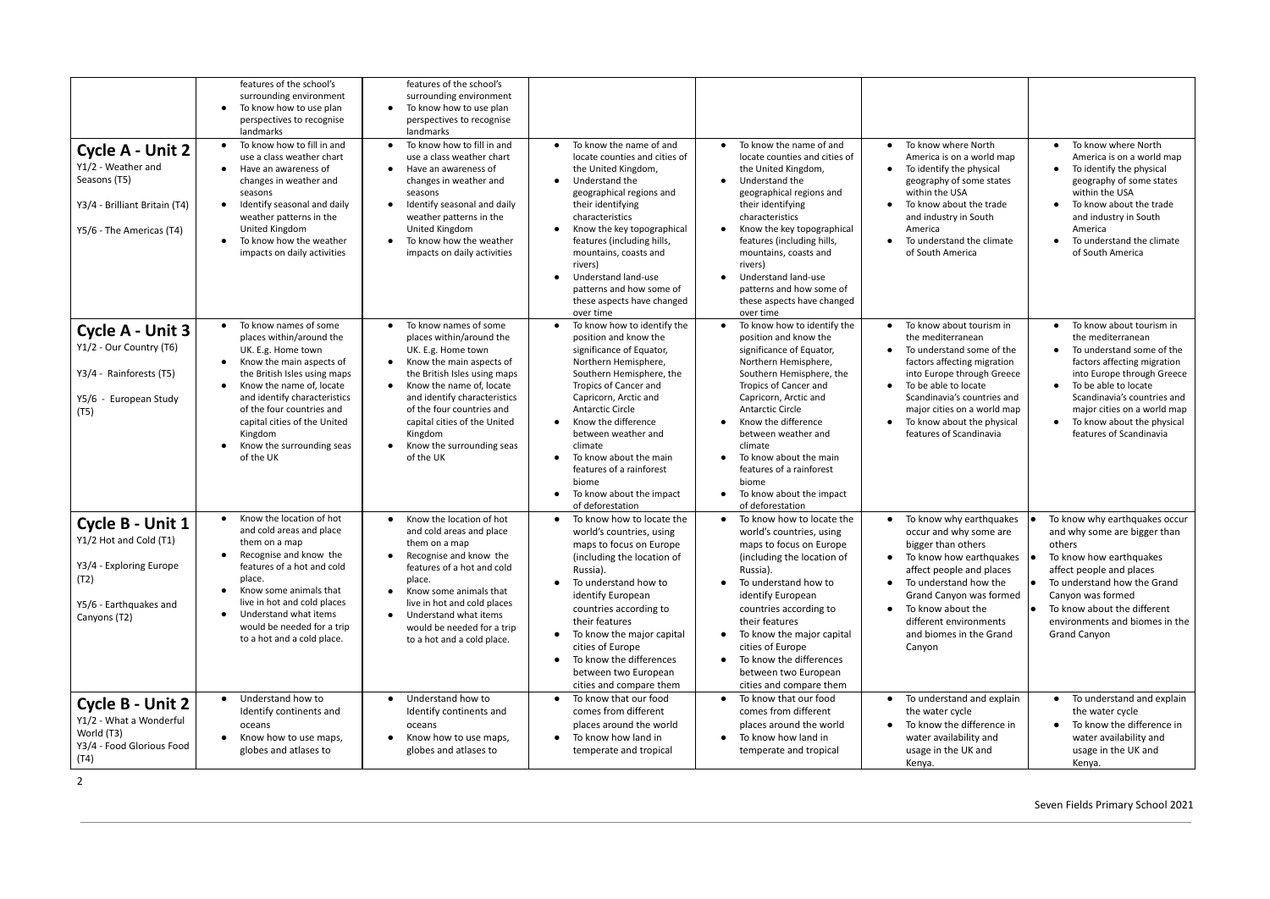| <b>Cycle A - Unit 2</b><br>Y1/2 - Weather and<br>Seasons (T5)<br>Y3/4 - Brilliant Britain (T4)<br>Y5/6 - The Americas (T4) | features of the school's<br>surrounding environment<br>To know how to use plan<br>$\bullet$<br>perspectives to recognise<br>landmarks<br>To know how to fill in and<br>$\bullet$<br>use a class weather chart<br>Have an awareness of<br>$\bullet$<br>changes in weather and<br>seasons<br>Identify seasonal and daily<br>weather patterns in the<br>United Kingdom<br>To know how the weather<br>$\bullet$<br>impacts on daily activities | features of the school's<br>surrounding environment<br>To know how to use plan<br>$\bullet$<br>perspectives to recognise<br>landmarks<br>To know how to fill in and<br>use a class weather chart<br>Have an awareness of<br>$\bullet$<br>changes in weather and<br>seasons<br>Identify seasonal and daily<br>$\bullet$<br>weather patterns in the<br>United Kingdom<br>To know how the weather<br>$\bullet$<br>impacts on daily activities | To know the name of and<br>$\bullet$<br>locate counties and cities of<br>the United Kingdom,<br>Understand the<br>$\bullet$<br>geographical regions and<br>their identifying<br>characteristics<br>Know the key topographical<br>features (including hills,<br>mountains, coasts and<br>rivers)<br>Understand land-use<br>$\bullet$<br>patterns and how some of<br>these aspects have changed                       | To know the name of and<br>locate counties and cities of<br>the United Kingdom,<br>Understand the<br>$\bullet$<br>geographical regions and<br>their identifying<br>characteristics<br>Know the key topographical<br>features (including hills,<br>mountains, coasts and<br>rivers)<br>Understand land-use<br>patterns and how some of<br>these aspects have changed                                    | To know where North<br>$\bullet$<br>America is on a world map<br>To identify the physical<br>$\bullet$<br>geography of some states<br>within the USA<br>To know about the trade<br>$\bullet$<br>and industry in South<br>America<br>To understand the climate<br>of South America                                             | To know where North<br>$\bullet$<br>America is on a world map<br>To identify the physical<br>geography of some states<br>within the USA<br>To know about the trade<br>and industry in South<br>America<br>To understand the climate<br>of South America                                |
|----------------------------------------------------------------------------------------------------------------------------|--------------------------------------------------------------------------------------------------------------------------------------------------------------------------------------------------------------------------------------------------------------------------------------------------------------------------------------------------------------------------------------------------------------------------------------------|--------------------------------------------------------------------------------------------------------------------------------------------------------------------------------------------------------------------------------------------------------------------------------------------------------------------------------------------------------------------------------------------------------------------------------------------|---------------------------------------------------------------------------------------------------------------------------------------------------------------------------------------------------------------------------------------------------------------------------------------------------------------------------------------------------------------------------------------------------------------------|--------------------------------------------------------------------------------------------------------------------------------------------------------------------------------------------------------------------------------------------------------------------------------------------------------------------------------------------------------------------------------------------------------|-------------------------------------------------------------------------------------------------------------------------------------------------------------------------------------------------------------------------------------------------------------------------------------------------------------------------------|----------------------------------------------------------------------------------------------------------------------------------------------------------------------------------------------------------------------------------------------------------------------------------------|
| Cycle A - Unit 3<br>Y1/2 - Our Country (T6)<br>Y3/4 - Rainforests (T5)<br>Y5/6 - European Study<br>(T5)                    | To know names of some<br>$\bullet$<br>places within/around the<br>UK. E.g. Home town<br>Know the main aspects of<br>$\bullet$<br>the British Isles using maps<br>Know the name of, locate<br>and identify characteristics<br>of the four countries and<br>capital cities of the United<br>Kingdom<br>Know the surrounding seas<br>of the UK                                                                                                | To know names of some<br>places within/around the<br>UK. E.g. Home town<br>Know the main aspects of<br>$\bullet$<br>the British Isles using maps<br>Know the name of, locate<br>$\bullet$<br>and identify characteristics<br>of the four countries and<br>capital cities of the United<br>Kingdom<br>Know the surrounding seas<br>of the UK                                                                                                | over time<br>To know how to identify the<br>position and know the<br>significance of Equator,<br>Northern Hemisphere,<br>Southern Hemisphere, the<br>Tropics of Cancer and<br>Capricorn, Arctic and<br><b>Antarctic Circle</b><br>Know the difference<br>$\bullet$<br>between weather and<br>climate<br>To know about the main<br>features of a rainforest<br>biome<br>To know about the impact<br>of deforestation | over time<br>To know how to identify the<br>position and know the<br>significance of Equator,<br>Northern Hemisphere,<br>Southern Hemisphere, the<br>Tropics of Cancer and<br>Capricorn, Arctic and<br><b>Antarctic Circle</b><br>Know the difference<br>between weather and<br>climate<br>To know about the main<br>features of a rainforest<br>biome<br>To know about the impact<br>of deforestation | To know about tourism in<br>$\bullet$<br>the mediterranean<br>To understand some of the<br>$\bullet$<br>factors affecting migration<br>into Europe through Greece<br>To be able to locate<br>$\bullet$<br>Scandinavia's countries and<br>major cities on a world map<br>To know about the physical<br>features of Scandinavia | To know about tourism in<br>the mediterranean<br>To understand some of the<br>factors affecting migration<br>into Europe through Greece<br>To be able to locate<br>Scandinavia's countries and<br>major cities on a world map<br>To know about the physical<br>features of Scandinavia |
| Cycle B - Unit 1<br>Y1/2 Hot and Cold (T1)<br>Y3/4 - Exploring Europe<br>(T2)<br>Y5/6 - Earthquakes and<br>Canyons (T2)    | Know the location of hot<br>$\bullet$<br>and cold areas and place<br>them on a map<br>Recognise and know the<br>features of a hot and cold<br>place.<br>Know some animals that<br>$\bullet$<br>live in hot and cold places<br>Understand what items<br>would be needed for a trip<br>to a hot and a cold place.                                                                                                                            | Know the location of hot<br>$\bullet$<br>and cold areas and place<br>them on a map<br>Recognise and know the<br>features of a hot and cold<br>place.<br>Know some animals that<br>$\bullet$<br>live in hot and cold places<br>Understand what items<br>$\bullet$<br>would be needed for a trip<br>to a hot and a cold place.                                                                                                               | To know how to locate the<br>$\bullet$<br>world's countries, using<br>maps to focus on Europe<br>(including the location of<br>Russia).<br>To understand how to<br>identify European<br>countries according to<br>their features<br>To know the major capital<br>cities of Europe<br>To know the differences<br>between two European<br>cities and compare them                                                     | To know how to locate the<br>$\bullet$<br>world's countries, using<br>maps to focus on Europe<br>(including the location of<br>Russia).<br>To understand how to<br>identify European<br>countries according to<br>their features<br>To know the major capital<br>$\bullet$<br>cities of Europe<br>To know the differences<br>between two European<br>cities and compare them                           | To know why earthquakes<br>$\bullet$<br>occur and why some are<br>bigger than others<br>To know how earthquakes<br>affect people and places<br>To understand how the<br>$\bullet$<br>Grand Canyon was formed<br>To know about the<br>$\bullet$<br>different environments<br>and biomes in the Grand<br>Canyon                 | To know why earthquakes occur<br>and why some are bigger than<br>others<br>To know how earthquakes<br>affect people and places<br>To understand how the Grand<br>Canyon was formed<br>To know about the different<br>environments and biomes in the<br><b>Grand Canyon</b>             |
| Cycle B - Unit 2<br>Y1/2 - What a Wonderful<br>World (T3)<br>Y3/4 - Food Glorious Food<br>(T4)                             | Understand how to<br>$\bullet$<br>Identify continents and<br>oceans<br>Know how to use maps,<br>$\bullet$<br>globes and atlases to                                                                                                                                                                                                                                                                                                         | Understand how to<br>Identify continents and<br>oceans<br>Know how to use maps,<br>globes and atlases to                                                                                                                                                                                                                                                                                                                                   | To know that our food<br>comes from different<br>places around the world<br>To know how land in<br>$\bullet$<br>temperate and tropical                                                                                                                                                                                                                                                                              | To know that our food<br>comes from different<br>places around the world<br>To know how land in<br>$\bullet$<br>temperate and tropical                                                                                                                                                                                                                                                                 | To understand and explain<br>the water cycle<br>To know the difference in<br>water availability and<br>usage in the UK and<br>Kenya.                                                                                                                                                                                          | To understand and explain<br>the water cycle<br>To know the difference in<br>water availability and<br>usage in the UK and<br>Kenya.                                                                                                                                                   |

2

## Seven Fields Primary School 2021